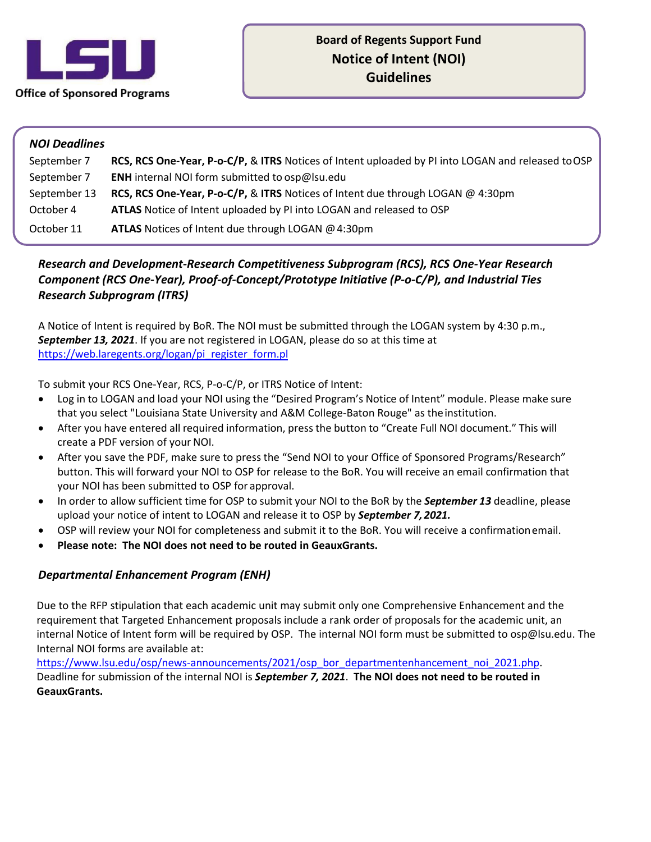

## *NOI Deadlines*

*r* 

| September 7  | RCS, RCS One-Year, P-o-C/P, & ITRS Notices of Intent uploaded by PI into LOGAN and released to OSP |
|--------------|----------------------------------------------------------------------------------------------------|
| September 7  | <b>ENH</b> internal NOI form submitted to osp@lsu.edu                                              |
| September 13 | RCS, RCS One-Year, P-o-C/P, & ITRS Notices of Intent due through LOGAN @ 4:30pm                    |
| October 4    | ATLAS Notice of Intent uploaded by PI into LOGAN and released to OSP                               |
| October 11   | <b>ATLAS</b> Notices of Intent due through LOGAN $@$ 4:30pm                                        |

## *Component (RCS One-Year), Proof-of-Concept/Prototype Initiative (P-o-C/P), and Industrial Ties Research and Development-Research Competitiveness Subprogram (RCS), RCS One-Year Research Research Subprogram (ITRS)*

 A Notice of Intent is required by BoR. The NOI must be submitted through the LOGAN system by 4:30 p.m., *September 13, 2021*. If you are not registered in LOGAN, please do so at this time at https://web.laregents.org/logan/pi\_register\_form.pl

To submit your RCS One-Year, RCS, P-o-C/P, or ITRS Notice of Intent:

- • Log in to LOGAN and load your NOI using the "Desired Program's Notice of Intent" module. Please make sure that you select "Louisiana State University and A&M College-Baton Rouge" as theinstitution.
- • After you have entered all required information, press the button to "Create Full NOI document." This will create a PDF version of your NOI.
- button. This will forward your NOI to OSP for release to the BoR. You will receive an email confirmation that your NOI has been submitted to OSP for approval. • After you save the PDF, make sure to press the "Send NOI to your Office of Sponsored Programs/Research"
- • In order to allow sufficient time for OSP to submit your NOI to the BoR by the *September 13* deadline, please upload your notice of intent to LOGAN and release it to OSP by *September 7, 2021.*
- OSP will review your NOI for completeness and submit it to the BoR. You will receive a confirmationemail.
- **Please note: The NOI does not need to be routed in GeauxGrants.**

## *Departmental Enhancement Program (ENH)*

 Due to the RFP stipulation that each academic unit may submit only one Comprehensive Enhancement and the requirement that Targeted Enhancement proposals include a rank order of proposals for the academic unit, an Internal NOI forms are available at: internal Notice of Intent form will be required by OSP. The internal NOI form must be submitted to [osp@lsu.edu.](mailto:osp@lsu.edu) The

Internal NOI forms are available at:<br>[https://www.lsu.edu/osp/news-announcements/2021/osp\\_bor\\_departmentenhancement\\_noi\\_2021.php.](https://www.lsu.edu/osp/news-announcements/2021/osp_bor_departmentenhancement_noi_2021.php)<br>Deadline for submission of the internal NOI is **September 7, 2021**. The NOI does not need to **GeauxGrants.**